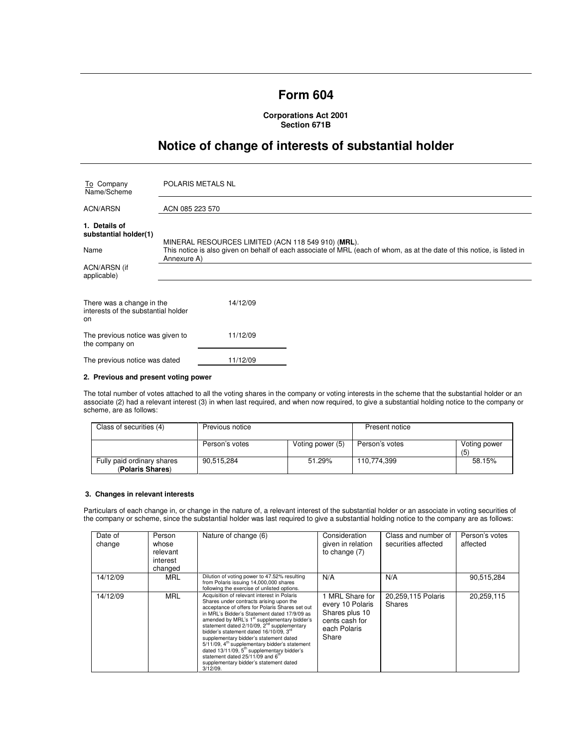# **Form 604**

**Corporations Act 2001 Section 671B** 

# **Notice of change of interests of substantial holder**

| To Company<br>Name/Scheme                                              | <b>POLARIS METALS NL</b>                                                                                                                                                                     |  |  |
|------------------------------------------------------------------------|----------------------------------------------------------------------------------------------------------------------------------------------------------------------------------------------|--|--|
| ACN/ARSN                                                               | ACN 085 223 570                                                                                                                                                                              |  |  |
| 1. Details of<br>substantial holder(1)<br>Name                         | MINERAL RESOURCES LIMITED (ACN 118 549 910) (MRL).<br>This notice is also given on behalf of each associate of MRL (each of whom, as at the date of this notice, is listed in<br>Annexure A) |  |  |
| ACN/ARSN (if<br>applicable)                                            |                                                                                                                                                                                              |  |  |
| There was a change in the<br>interests of the substantial holder<br>on | 14/12/09                                                                                                                                                                                     |  |  |
| The previous notice was given to<br>the company on                     | 11/12/09                                                                                                                                                                                     |  |  |
| The previous notice was dated                                          | 11/12/09                                                                                                                                                                                     |  |  |

# **2. Previous and present voting power**

The total number of votes attached to all the voting shares in the company or voting interests in the scheme that the substantial holder or an associate (2) had a relevant interest (3) in when last required, and when now required, to give a substantial holding notice to the company or scheme, are as follows:

| Class of securities (4)                        | Previous notice |                  | Present notice |                    |
|------------------------------------------------|-----------------|------------------|----------------|--------------------|
|                                                | Person's votes  | Voting power (5) | Person's votes | Voting power<br>(5 |
| Fully paid ordinary shares<br>(Polaris Shares) | 90.515.284      | 51.29%           | 110.774.399    | 58.15%             |

# **3. Changes in relevant interests**

Particulars of each change in, or change in the nature of, a relevant interest of the substantial holder or an associate in voting securities of the company or scheme, since the substantial holder was last required to give a substantial holding notice to the company are as follows:

| Date of<br>change | Person<br>whose<br>relevant<br>interest<br>changed | Nature of change (6)                                                                                                                                                                                                                                                                                                                                                                                                                                                                                                                                                                                                               | Consideration<br>given in relation<br>to change $(7)$                                            | Class and number of<br>securities affected | Person's votes<br>affected |
|-------------------|----------------------------------------------------|------------------------------------------------------------------------------------------------------------------------------------------------------------------------------------------------------------------------------------------------------------------------------------------------------------------------------------------------------------------------------------------------------------------------------------------------------------------------------------------------------------------------------------------------------------------------------------------------------------------------------------|--------------------------------------------------------------------------------------------------|--------------------------------------------|----------------------------|
| 14/12/09          | <b>MRL</b>                                         | Dilution of voting power to 47.52% resulting<br>from Polaris issuing 14,000,000 shares<br>following the exercise of unlisted options.                                                                                                                                                                                                                                                                                                                                                                                                                                                                                              | N/A                                                                                              | N/A                                        | 90,515,284                 |
| 14/12/09          | <b>MRL</b>                                         | Acquisition of relevant interest in Polaris<br>Shares under contracts arising upon the<br>acceptance of offers for Polaris Shares set out<br>in MRL's Bidder's Statement dated 17/9/09 as<br>amended by MRL's 1 <sup>st</sup> supplementary bidder's<br>statement dated 2/10/09, 2 <sup>nd</sup> supplementary<br>bidder's statement dated 16/10/09, 3rd<br>supplementary bidder's statement dated<br>5/11/09, 4 <sup>th</sup> supplementary bidder's statement<br>dated 13/11/09, 5 <sup>th</sup> supplementary bidder's<br>statement dated 25/11/09 and 6 <sup>th</sup><br>supplementary bidder's statement dated<br>$3/12/09$ . | 1 MRL Share for<br>every 10 Polaris<br>Shares plus 10<br>cents cash for<br>each Polaris<br>Share | 20,259,115 Polaris<br>Shares               | 20,259,115                 |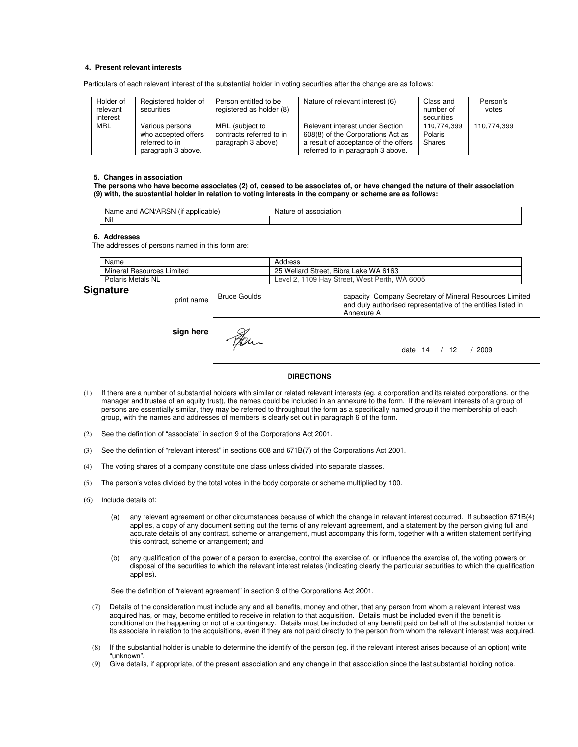### **4. Present relevant interests**

Particulars of each relevant interest of the substantial holder in voting securities after the change are as follows:

| Holder of<br>relevant<br>interest | Registered holder of<br>securities                                             | Person entitled to be<br>registered as holder (8)                 | Nature of relevant interest (6)                                                                                                                   | Class and<br>number of<br>securities | Person's<br>votes |
|-----------------------------------|--------------------------------------------------------------------------------|-------------------------------------------------------------------|---------------------------------------------------------------------------------------------------------------------------------------------------|--------------------------------------|-------------------|
| <b>MRL</b>                        | Various persons<br>who accepted offers<br>referred to in<br>paragraph 3 above. | MRL (subject to<br>contracts referred to in<br>paragraph 3 above) | Relevant interest under Section<br>608(8) of the Corporations Act as<br>a result of acceptance of the offers<br>referred to in paragraph 3 above. | 110.774.399<br>Polaris<br>Shares     | 110.774.399       |

#### **5. Changes in association**

**The persons who have become associates (2) of, ceased to be associates of, or have changed the nature of their association (9) with, the substantial holder in relation to voting interests in the company or scheme are as follows:** 

| $\cdots$<br>v<br>AGN/<br>onn<br>plicable<br>15 N<br>Na<br>ano<br>не<br>au<br>$\mathbf{u}$ | .<br>$\sim$<br>הוח<br>ΟT<br>ssociation<br>. . |
|-------------------------------------------------------------------------------------------|-----------------------------------------------|
| Nil                                                                                       |                                               |

#### **6. Addresses**

The addresses of persons named in this form are:

| Name                                 | Address                                                                 |
|--------------------------------------|-------------------------------------------------------------------------|
| .<br>Mineral<br>Limited<br>Resources | Bibra<br>: WA 6163<br>25<br>Street,<br>Wellard<br>Lake                  |
| Polaris<br>Metals<br>NL              | 6005<br>1109<br><b>WA</b><br>West Perth<br>Hav<br>Street.<br>Level<br>- |

Annexure A

# **Signature**

print name Bruce Goulds

**sign here**

date 14 / 12 / 2009

capacity Company Secretary of Mineral Resources Limited and duly authorised representative of the entities listed in

#### **DIRECTIONS**

- (1) If there are a number of substantial holders with similar or related relevant interests (eg. a corporation and its related corporations, or the manager and trustee of an equity trust), the names could be included in an annexure to the form. If the relevant interests of a group of persons are essentially similar, they may be referred to throughout the form as a specifically named group if the membership of each group, with the names and addresses of members is clearly set out in paragraph 6 of the form.
- (2) See the definition of "associate" in section 9 of the Corporations Act 2001.
- (3) See the definition of "relevant interest" in sections 608 and 671B(7) of the Corporations Act 2001.
- (4) The voting shares of a company constitute one class unless divided into separate classes.
- (5) The person's votes divided by the total votes in the body corporate or scheme multiplied by 100.
- (6) Include details of:
	- (a) any relevant agreement or other circumstances because of which the change in relevant interest occurred. If subsection 671B(4) applies, a copy of any document setting out the terms of any relevant agreement, and a statement by the person giving full and accurate details of any contract, scheme or arrangement, must accompany this form, together with a written statement certifying this contract, scheme or arrangement; and
	- (b) any qualification of the power of a person to exercise, control the exercise of, or influence the exercise of, the voting powers or disposal of the securities to which the relevant interest relates (indicating clearly the particular securities to which the qualification applies).

See the definition of "relevant agreement" in section 9 of the Corporations Act 2001.

- (7) Details of the consideration must include any and all benefits, money and other, that any person from whom a relevant interest was acquired has, or may, become entitled to receive in relation to that acquisition. Details must be included even if the benefit is conditional on the happening or not of a contingency. Details must be included of any benefit paid on behalf of the substantial holder or its associate in relation to the acquisitions, even if they are not paid directly to the person from whom the relevant interest was acquired.
- (8) If the substantial holder is unable to determine the identify of the person (eg. if the relevant interest arises because of an option) write "unknown".
- (9) Give details, if appropriate, of the present association and any change in that association since the last substantial holding notice.